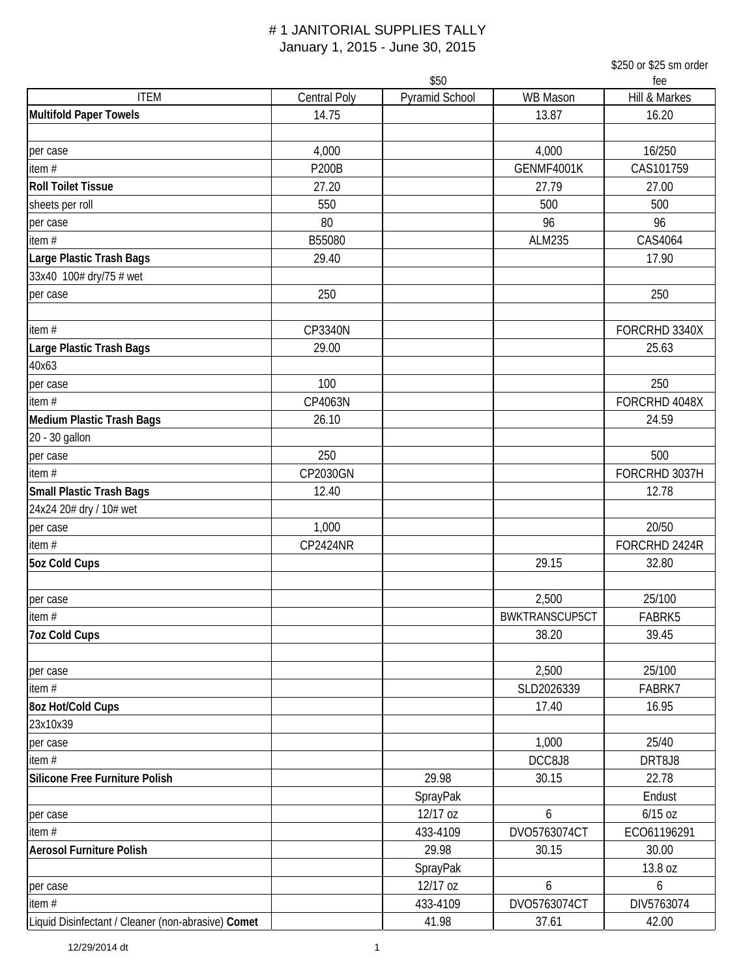|                                                    |                     |                |                | \$250 or \$25 sm order |
|----------------------------------------------------|---------------------|----------------|----------------|------------------------|
|                                                    |                     | \$50           |                | fee                    |
| <b>ITEM</b>                                        | <b>Central Poly</b> | Pyramid School | WB Mason       | Hill & Markes          |
| <b>Multifold Paper Towels</b>                      | 14.75               |                | 13.87          | 16.20                  |
| per case                                           | 4,000               |                | 4,000          | 16/250                 |
| item $#$                                           | <b>P200B</b>        |                | GENMF4001K     | CAS101759              |
| <b>Roll Toilet Tissue</b>                          | 27.20               |                | 27.79          | 27.00                  |
| sheets per roll                                    | 550                 |                | 500            | 500                    |
| per case                                           | 80                  |                | 96             | 96                     |
| item #                                             | B55080              |                | ALM235         | CAS4064                |
| Large Plastic Trash Bags                           | 29.40               |                |                | 17.90                  |
| 33x40 100# dry/75 # wet                            |                     |                |                |                        |
| per case                                           | 250                 |                |                | 250                    |
| item $#$                                           | CP3340N             |                |                | FORCRHD 3340X          |
| Large Plastic Trash Bags                           | 29.00               |                |                | 25.63                  |
| 40x63                                              |                     |                |                |                        |
| per case                                           | 100                 |                |                | 250                    |
| item $#$                                           | CP4063N             |                |                | FORCRHD 4048X          |
| <b>Medium Plastic Trash Bags</b>                   | 26.10               |                |                | 24.59                  |
| 20 - 30 gallon                                     |                     |                |                |                        |
| per case                                           | 250                 |                |                | 500                    |
| item#                                              | CP2030GN            |                |                | FORCRHD 3037H          |
| <b>Small Plastic Trash Bags</b>                    | 12.40               |                |                | 12.78                  |
| 24x24 20# dry / 10# wet                            |                     |                |                |                        |
| per case                                           | 1,000               |                |                | 20/50                  |
| item #                                             | <b>CP2424NR</b>     |                |                | FORCRHD 2424R          |
| <b>5oz Cold Cups</b>                               |                     |                | 29.15          | 32.80                  |
|                                                    |                     |                |                |                        |
| per case                                           |                     |                | 2,500          | 25/100                 |
| item #                                             |                     |                | BWKTRANSCUP5CT | FABRK5                 |
| <b>7oz Cold Cups</b>                               |                     |                | 38.20          | 39.45                  |
| per case                                           |                     |                | 2,500          | 25/100                 |
| item #                                             |                     |                | SLD2026339     | FABRK7                 |
| 8oz Hot/Cold Cups                                  |                     |                | 17.40          | 16.95                  |
| 23x10x39                                           |                     |                |                |                        |
| per case                                           |                     |                | 1,000          | 25/40                  |
| item#                                              |                     |                | DCC8J8         | DRT8J8                 |
| Silicone Free Furniture Polish                     |                     | 29.98          | 30.15          | 22.78                  |
|                                                    |                     | SprayPak       |                | Endust                 |
| per case                                           |                     | 12/17 oz       | 6              | $6/15$ oz              |
| item#                                              |                     | 433-4109       | DVO5763074CT   | ECO61196291            |
| <b>Aerosol Furniture Polish</b>                    |                     | 29.98          | 30.15          | 30.00                  |
|                                                    |                     | SprayPak       |                | 13.8 oz                |
| per case                                           |                     | 12/17 oz       | 6              | 6                      |
| item $#$                                           |                     | 433-4109       | DVO5763074CT   | DIV5763074             |
| Liquid Disinfectant / Cleaner (non-abrasive) Comet |                     | 41.98          | 37.61          | 42.00                  |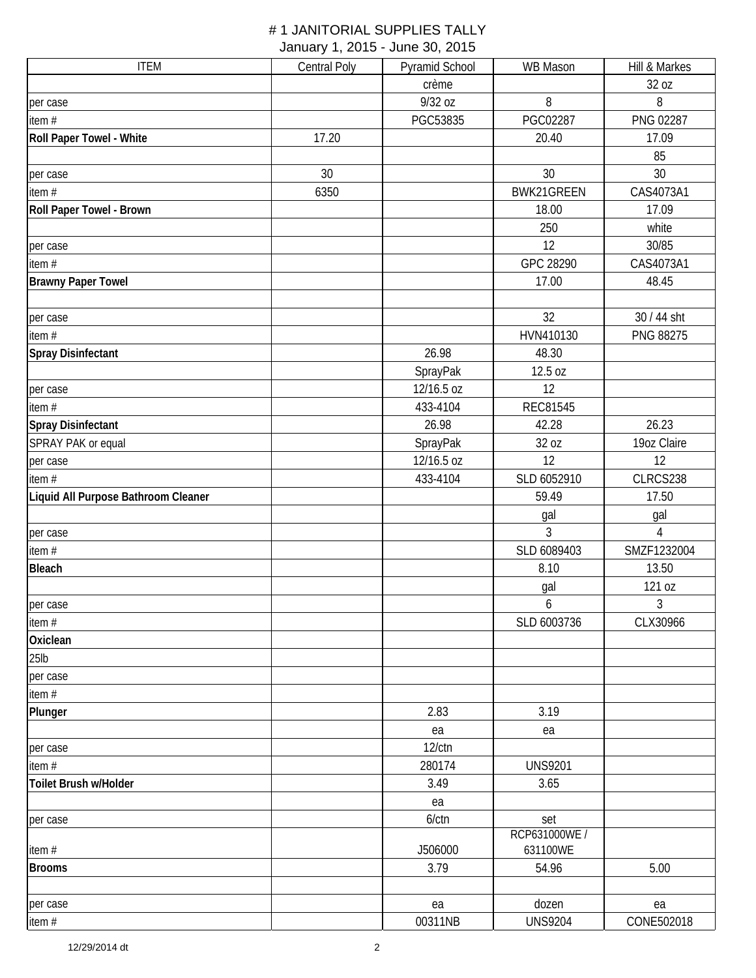| <b>ITEM</b>                         | <b>Central Poly</b> | Pyramid School | WB Mason        | Hill & Markes  |
|-------------------------------------|---------------------|----------------|-----------------|----------------|
|                                     |                     | crème          |                 | 32 oz          |
| per case                            |                     | 9/32 oz        | 8               | 8              |
| item $#$                            |                     | PGC53835       | PGC02287        | PNG 02287      |
| Roll Paper Towel - White            | 17.20               |                | 20.40           | 17.09          |
|                                     |                     |                |                 | 85             |
| per case                            | 30                  |                | 30              | 30             |
| item $#$                            | 6350                |                | BWK21GREEN      | CAS4073A1      |
| Roll Paper Towel - Brown            |                     |                | 18.00           | 17.09          |
|                                     |                     |                | 250             | white          |
| per case                            |                     |                | 12              | 30/85          |
| item $#$                            |                     |                | GPC 28290       | CAS4073A1      |
| <b>Brawny Paper Towel</b>           |                     |                | 17.00           | 48.45          |
| per case                            |                     |                | 32              | 30 / 44 sht    |
| item #                              |                     |                | HVN410130       | PNG 88275      |
| <b>Spray Disinfectant</b>           |                     | 26.98          | 48.30           |                |
|                                     |                     | SprayPak       | 12.5 oz         |                |
| per case                            |                     | 12/16.5 oz     | 12              |                |
| item #                              |                     | 433-4104       | <b>REC81545</b> |                |
| <b>Spray Disinfectant</b>           |                     | 26.98          | 42.28           | 26.23          |
| SPRAY PAK or equal                  |                     | SprayPak       | 32 oz           | 19oz Claire    |
| per case                            |                     | 12/16.5 oz     | 12              | 12             |
| item#                               |                     | 433-4104       | SLD 6052910     | CLRCS238       |
| Liquid All Purpose Bathroom Cleaner |                     |                | 59.49           | 17.50          |
|                                     |                     |                | gal             | gal            |
| per case                            |                     |                | 3               | $\overline{4}$ |
| item#                               |                     |                | SLD 6089403     | SMZF1232004    |
| <b>Bleach</b>                       |                     |                | 8.10            | 13.50          |
|                                     |                     |                | gal             | 121 oz         |
| per case                            |                     |                | 6               | 3              |
| item $#$                            |                     |                | SLD 6003736     | CLX30966       |
| Oxiclean                            |                     |                |                 |                |
| $25$ lb                             |                     |                |                 |                |
| per case                            |                     |                |                 |                |
| item $#$                            |                     |                |                 |                |
| Plunger                             |                     | 2.83           | 3.19            |                |
|                                     |                     | ea             | ea              |                |
| per case                            |                     | $12$ / $ctn$   |                 |                |
| item #                              |                     | 280174         | <b>UNS9201</b>  |                |
| Toilet Brush w/Holder               |                     | 3.49           | 3.65            |                |
|                                     |                     | ea             |                 |                |
| per case                            |                     | $6$ / $ctn$    | set             |                |
|                                     |                     |                | RCP631000WE /   |                |
| item#                               |                     | J506000        | 631100WE        |                |
| <b>Brooms</b>                       |                     | 3.79           | 54.96           | 5.00           |
|                                     |                     |                |                 |                |
| per case                            |                     | ea             | dozen           | ea             |
| item #                              |                     | 00311NB        | <b>UNS9204</b>  | CONE502018     |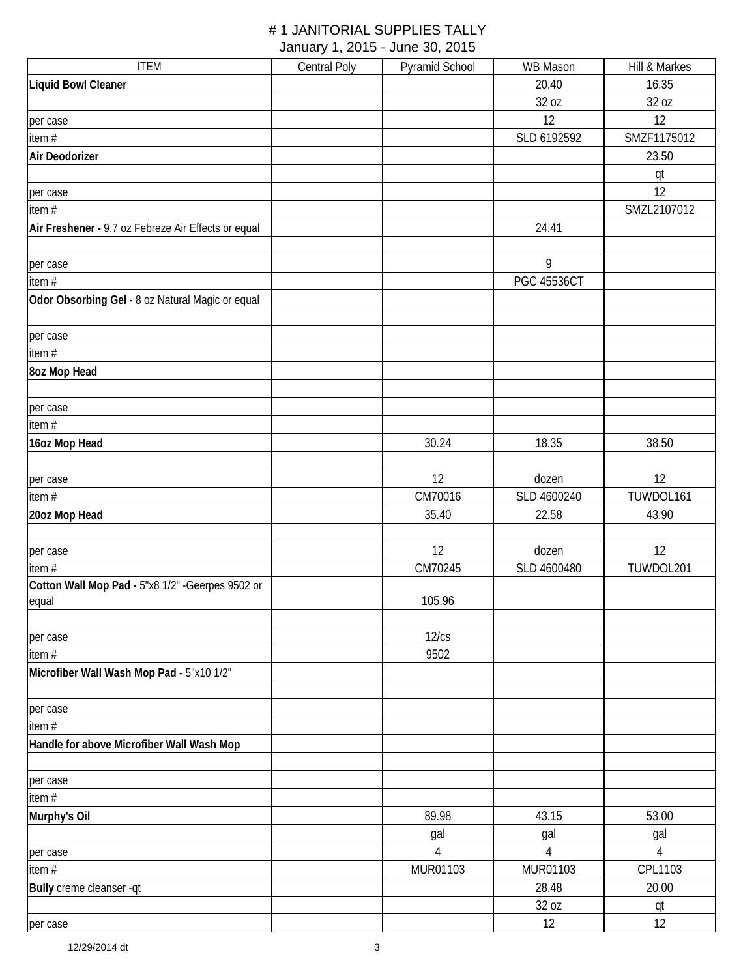| <b>ITEM</b>                                         | <b>Central Poly</b> | Pyramid School | WB Mason           | Hill & Markes  |
|-----------------------------------------------------|---------------------|----------------|--------------------|----------------|
| <b>Liquid Bowl Cleaner</b>                          |                     |                | 20.40              | 16.35          |
|                                                     |                     |                | 32 oz              | 32 oz          |
| per case                                            |                     |                | 12                 | 12             |
| item #                                              |                     |                | SLD 6192592        | SMZF1175012    |
| Air Deodorizer                                      |                     |                |                    | 23.50          |
|                                                     |                     |                |                    | qt             |
| per case                                            |                     |                |                    | 12             |
| item#                                               |                     |                |                    | SMZL2107012    |
| Air Freshener - 9.7 oz Febreze Air Effects or equal |                     |                | 24.41              |                |
|                                                     |                     |                |                    |                |
| per case                                            |                     |                | 9                  |                |
| item#                                               |                     |                | <b>PGC 45536CT</b> |                |
| Odor Obsorbing Gel - 8 oz Natural Magic or equal    |                     |                |                    |                |
| per case                                            |                     |                |                    |                |
| item #                                              |                     |                |                    |                |
| 8oz Mop Head                                        |                     |                |                    |                |
|                                                     |                     |                |                    |                |
| per case                                            |                     |                |                    |                |
| item #                                              |                     |                |                    |                |
| 16oz Mop Head                                       |                     | 30.24          | 18.35              | 38.50          |
|                                                     |                     |                |                    |                |
| per case                                            |                     | 12             | dozen              | 12             |
| item $#$                                            |                     | CM70016        | SLD 4600240        | TUWDOL161      |
| 20oz Mop Head                                       |                     | 35.40          | 22.58              | 43.90          |
|                                                     |                     |                |                    |                |
| per case                                            |                     | 12             | dozen              | 12             |
| item#                                               |                     | CM70245        | SLD 4600480        | TUWDOL201      |
| Cotton Wall Mop Pad - 5"x8 1/2" - Geerpes 9502 or   |                     |                |                    |                |
| equal                                               |                     | 105.96         |                    |                |
|                                                     |                     | 12/cs          |                    |                |
| per case<br>item #                                  |                     | 9502           |                    |                |
| Microfiber Wall Wash Mop Pad - 5"x10 1/2"           |                     |                |                    |                |
|                                                     |                     |                |                    |                |
| per case                                            |                     |                |                    |                |
| item #                                              |                     |                |                    |                |
| Handle for above Microfiber Wall Wash Mop           |                     |                |                    |                |
|                                                     |                     |                |                    |                |
| per case                                            |                     |                |                    |                |
| item #                                              |                     |                |                    |                |
| Murphy's Oil                                        |                     | 89.98          | 43.15              | 53.00          |
|                                                     |                     | gal            | gal                | gal            |
| per case                                            |                     | $\overline{4}$ | $\overline{4}$     | $\overline{4}$ |
| item#                                               |                     | MUR01103       | MUR01103           | CPL1103        |
| Bully creme cleanser -qt                            |                     |                | 28.48              | 20.00          |
|                                                     |                     |                | 32 oz              | qt             |
| per case                                            |                     |                | 12                 | 12             |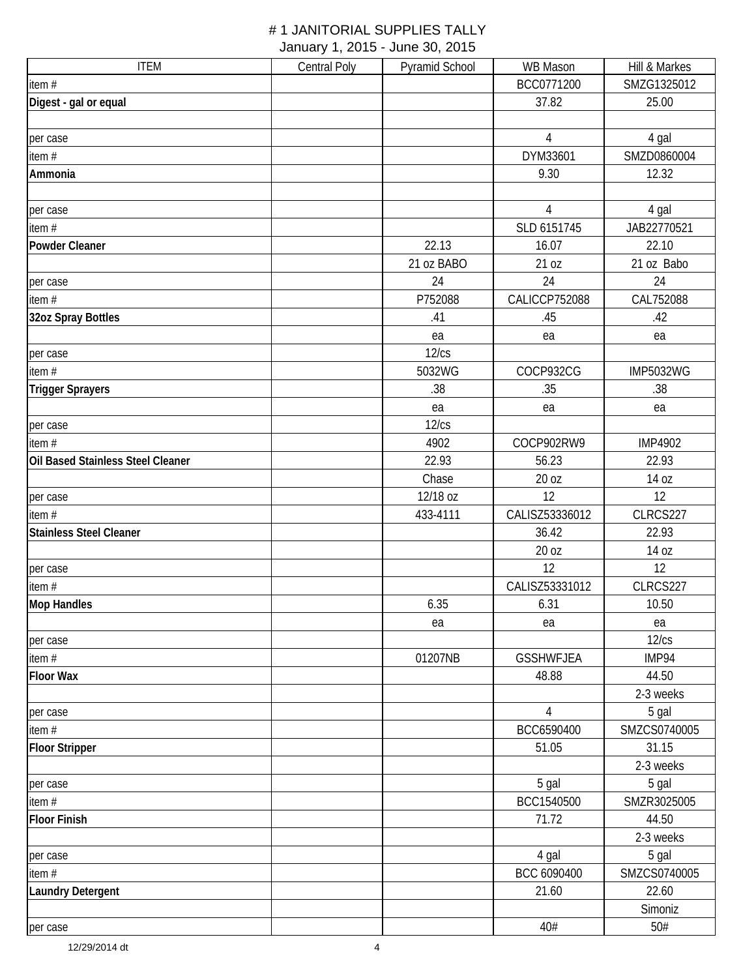| <b>ITEM</b>                       | <b>Central Poly</b> | Pyramid School | WB Mason         | Hill & Markes    |
|-----------------------------------|---------------------|----------------|------------------|------------------|
| item #                            |                     |                | BCC0771200       | SMZG1325012      |
| Digest - gal or equal             |                     |                | 37.82            | 25.00            |
|                                   |                     |                |                  |                  |
| per case                          |                     |                | $\overline{4}$   | 4 gal            |
| item #                            |                     |                | DYM33601         | SMZD0860004      |
| Ammonia                           |                     |                | 9.30             | 12.32            |
|                                   |                     |                |                  |                  |
| per case                          |                     |                | $\overline{4}$   | 4 gal            |
| item $#$                          |                     |                | SLD 6151745      | JAB22770521      |
| <b>Powder Cleaner</b>             |                     | 22.13          | 16.07            | 22.10            |
|                                   |                     | 21 oz BABO     | 21 oz            | 21 oz Babo       |
| per case                          |                     | 24             | 24               | 24               |
| item#                             |                     | P752088        | CALICCP752088    | CAL752088        |
| 32oz Spray Bottles                |                     | .41            | .45              | .42              |
|                                   |                     | ea             | ea               | ea               |
| per case                          |                     | 12/cs          |                  |                  |
| item $#$                          |                     | 5032WG         | COCP932CG        | <b>IMP5032WG</b> |
| <b>Trigger Sprayers</b>           |                     | .38            | .35              | .38              |
|                                   |                     | ea             | ea               | ea               |
| per case                          |                     | 12/cs          |                  |                  |
| item $#$                          |                     | 4902           | COCP902RW9       | <b>IMP4902</b>   |
| Oil Based Stainless Steel Cleaner |                     | 22.93          | 56.23            | 22.93            |
|                                   |                     | Chase          | 20 oz            | 14 oz            |
| per case                          |                     | 12/18 oz       | 12               | 12               |
| item#                             |                     | 433-4111       | CALISZ53336012   | CLRCS227         |
| <b>Stainless Steel Cleaner</b>    |                     |                | 36.42            | 22.93            |
|                                   |                     |                | 20 oz            | 14 oz            |
| per case                          |                     |                | 12               | 12               |
| item $#$                          |                     |                | CALISZ53331012   | CLRCS227         |
| <b>Mop Handles</b>                |                     | 6.35           | 6.31             | 10.50            |
|                                   |                     | ea             | ea               | ea               |
| per case                          |                     |                |                  | 12/cs            |
| item $#$                          |                     | 01207NB        | <b>GSSHWFJEA</b> | IMP94            |
| <b>Floor Wax</b>                  |                     |                | 48.88            | 44.50            |
|                                   |                     |                |                  | 2-3 weeks        |
| per case                          |                     |                | $\overline{4}$   | 5 gal            |
| item #                            |                     |                | BCC6590400       | SMZCS0740005     |
| <b>Floor Stripper</b>             |                     |                | 51.05            | 31.15            |
|                                   |                     |                |                  | 2-3 weeks        |
| per case                          |                     |                | 5 gal            | 5 gal            |
| item #                            |                     |                | BCC1540500       | SMZR3025005      |
| <b>Floor Finish</b>               |                     |                | 71.72            | 44.50            |
|                                   |                     |                |                  | 2-3 weeks        |
| per case                          |                     |                | 4 gal            | 5 gal            |
| item $#$                          |                     |                | BCC 6090400      | SMZCS0740005     |
| <b>Laundry Detergent</b>          |                     |                | 21.60            | 22.60            |
|                                   |                     |                |                  | Simoniz          |
| per case                          |                     |                | 40#              | 50#              |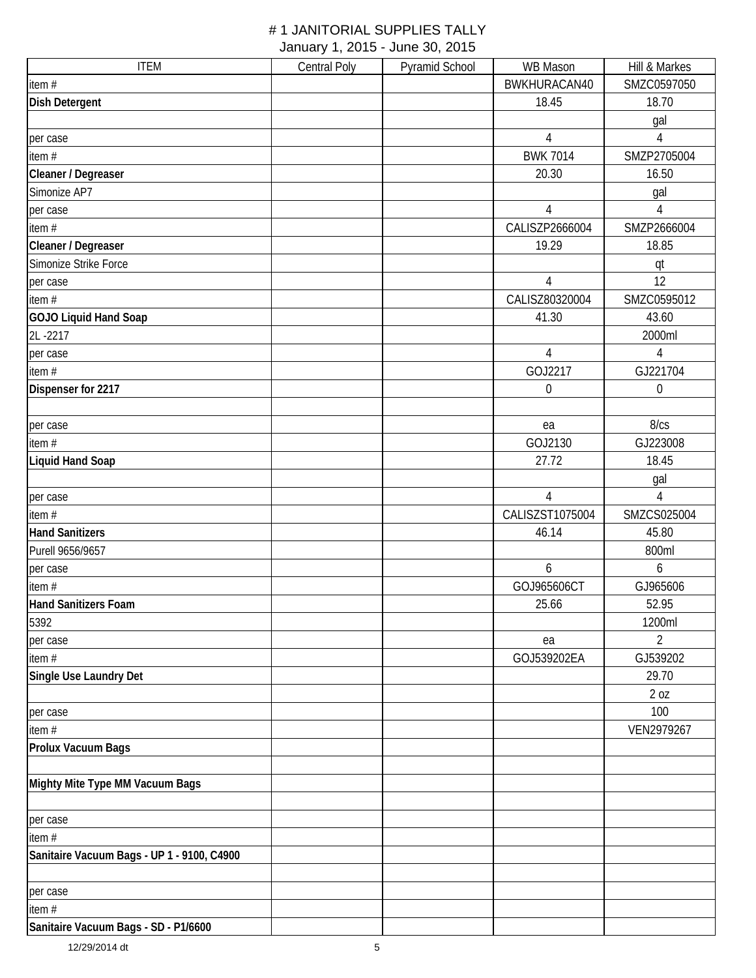| <b>ITEM</b>                                | <b>Central Poly</b> | Pyramid School | WB Mason         | Hill & Markes    |
|--------------------------------------------|---------------------|----------------|------------------|------------------|
| item #                                     |                     |                | BWKHURACAN40     | SMZC0597050      |
| Dish Detergent                             |                     |                | 18.45            | 18.70            |
|                                            |                     |                |                  | gal              |
| per case                                   |                     |                | $\sqrt{4}$       | 4                |
| item $#$                                   |                     |                | <b>BWK 7014</b>  | SMZP2705004      |
| Cleaner / Degreaser                        |                     |                | 20.30            | 16.50            |
| Simonize AP7                               |                     |                |                  | gal              |
| per case                                   |                     |                | 4                | $\overline{4}$   |
| item $#$                                   |                     |                | CALISZP2666004   | SMZP2666004      |
| Cleaner / Degreaser                        |                     |                | 19.29            | 18.85            |
| Simonize Strike Force                      |                     |                |                  | qt               |
| per case                                   |                     |                | $\overline{4}$   | 12               |
| item $#$                                   |                     |                | CALISZ80320004   | SMZC0595012      |
| <b>GOJO Liquid Hand Soap</b>               |                     |                | 41.30            | 43.60            |
| 2L-2217                                    |                     |                |                  | 2000ml           |
| per case                                   |                     |                | $\overline{4}$   | $\sqrt{4}$       |
| item $#$                                   |                     |                | GOJ2217          | GJ221704         |
| Dispenser for 2217                         |                     |                | $\boldsymbol{0}$ | $\boldsymbol{0}$ |
|                                            |                     |                |                  |                  |
| per case                                   |                     |                | ea               | 8/cs             |
| item $#$                                   |                     |                | GOJ2130          | GJ223008         |
| <b>Liquid Hand Soap</b>                    |                     |                | 27.72            | 18.45            |
|                                            |                     |                |                  | gal              |
| per case                                   |                     |                | $\overline{4}$   | 4                |
| item $#$                                   |                     |                | CALISZST1075004  | SMZCS025004      |
| <b>Hand Sanitizers</b>                     |                     |                | 46.14            | 45.80            |
| Purell 9656/9657                           |                     |                |                  | 800ml            |
| per case                                   |                     |                | 6                | 6                |
| item $#$                                   |                     |                | GOJ965606CT      | GJ965606         |
| <b>Hand Sanitizers Foam</b>                |                     |                | 25.66            | 52.95            |
| 5392                                       |                     |                |                  | 1200ml           |
| per case                                   |                     |                | ea               | $\overline{2}$   |
| item#                                      |                     |                | GOJ539202EA      | GJ539202         |
| Single Use Laundry Det                     |                     |                |                  | 29.70            |
|                                            |                     |                |                  | 20Z              |
| per case                                   |                     |                |                  | 100              |
| item#                                      |                     |                |                  | VEN2979267       |
| Prolux Vacuum Bags                         |                     |                |                  |                  |
| Mighty Mite Type MM Vacuum Bags            |                     |                |                  |                  |
| per case                                   |                     |                |                  |                  |
| item $#$                                   |                     |                |                  |                  |
| Sanitaire Vacuum Bags - UP 1 - 9100, C4900 |                     |                |                  |                  |
| per case                                   |                     |                |                  |                  |
| item $#$                                   |                     |                |                  |                  |
| Sanitaire Vacuum Bags - SD - P1/6600       |                     |                |                  |                  |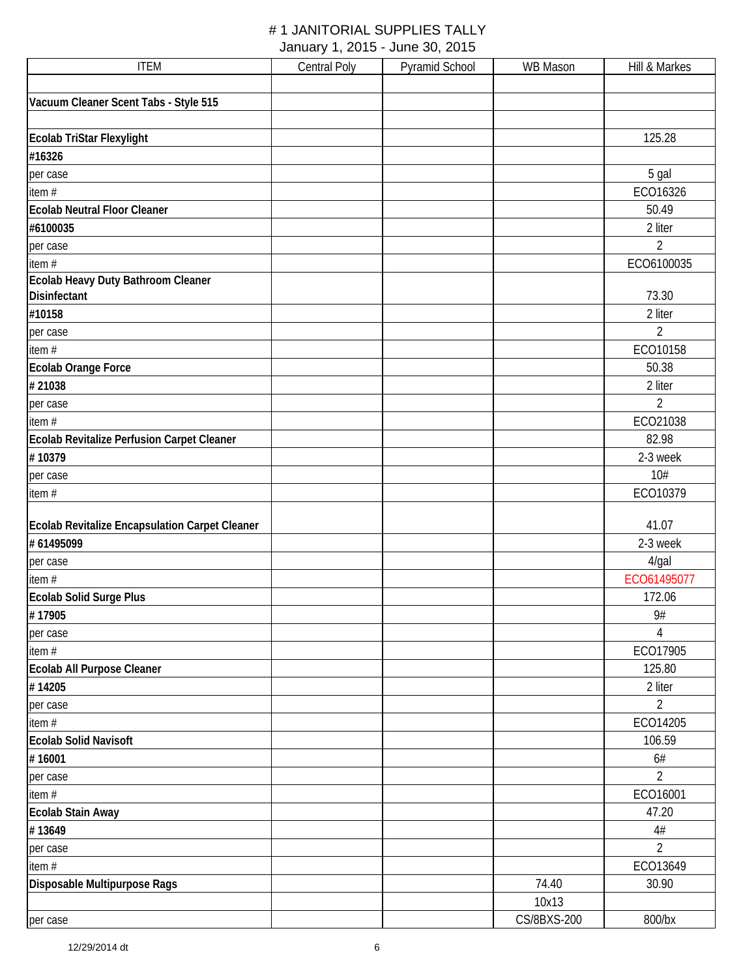| <b>ITEM</b>                                    | <b>Central Poly</b> | <b>Pyramid School</b> | WB Mason    | Hill & Markes  |
|------------------------------------------------|---------------------|-----------------------|-------------|----------------|
|                                                |                     |                       |             |                |
| Vacuum Cleaner Scent Tabs - Style 515          |                     |                       |             |                |
|                                                |                     |                       |             |                |
| Ecolab TriStar Flexylight                      |                     |                       |             | 125.28         |
| #16326                                         |                     |                       |             |                |
| per case                                       |                     |                       |             | 5 gal          |
| item #                                         |                     |                       |             | ECO16326       |
| <b>Ecolab Neutral Floor Cleaner</b>            |                     |                       |             | 50.49          |
| #6100035                                       |                     |                       |             | 2 liter        |
| per case                                       |                     |                       |             | $\overline{2}$ |
| item#                                          |                     |                       |             | ECO6100035     |
| Ecolab Heavy Duty Bathroom Cleaner             |                     |                       |             |                |
| Disinfectant                                   |                     |                       |             | 73.30          |
| #10158                                         |                     |                       |             | 2 liter        |
| per case                                       |                     |                       |             | $\overline{2}$ |
| item#                                          |                     |                       |             | ECO10158       |
| <b>Ecolab Orange Force</b>                     |                     |                       |             | 50.38          |
| #21038                                         |                     |                       |             | 2 liter        |
| per case                                       |                     |                       |             | $\overline{2}$ |
| item #                                         |                     |                       |             | ECO21038       |
| Ecolab Revitalize Perfusion Carpet Cleaner     |                     |                       |             | 82.98          |
| #10379                                         |                     |                       |             | 2-3 week       |
| per case                                       |                     |                       |             | 10#            |
| item#                                          |                     |                       |             | ECO10379       |
|                                                |                     |                       |             |                |
| Ecolab Revitalize Encapsulation Carpet Cleaner |                     |                       |             | 41.07          |
| # 61495099                                     |                     |                       |             | 2-3 week       |
| per case                                       |                     |                       |             | 4/gal          |
| item#                                          |                     |                       |             | ECO61495077    |
| <b>Ecolab Solid Surge Plus</b>                 |                     |                       |             | 172.06         |
| #17905                                         |                     |                       |             | 9#             |
| per case                                       |                     |                       |             | 4              |
| item#                                          |                     |                       |             | ECO17905       |
| Ecolab All Purpose Cleaner                     |                     |                       |             | 125.80         |
| #14205                                         |                     |                       |             | 2 liter        |
| per case                                       |                     |                       |             | $\overline{2}$ |
| item#                                          |                     |                       |             | ECO14205       |
| <b>Ecolab Solid Navisoft</b>                   |                     |                       |             | 106.59         |
| #16001                                         |                     |                       |             | 6#             |
| per case                                       |                     |                       |             | $\overline{2}$ |
| item#                                          |                     |                       |             | ECO16001       |
| <b>Ecolab Stain Away</b>                       |                     |                       |             | 47.20          |
| #13649                                         |                     |                       |             | $4\#$          |
|                                                |                     |                       |             |                |
| per case                                       |                     |                       |             | $\overline{2}$ |
| item $#$                                       |                     |                       |             | ECO13649       |
| Disposable Multipurpose Rags                   |                     |                       | 74.40       | 30.90          |
|                                                |                     |                       | 10x13       |                |
| per case                                       |                     |                       | CS/8BXS-200 | 800/bx         |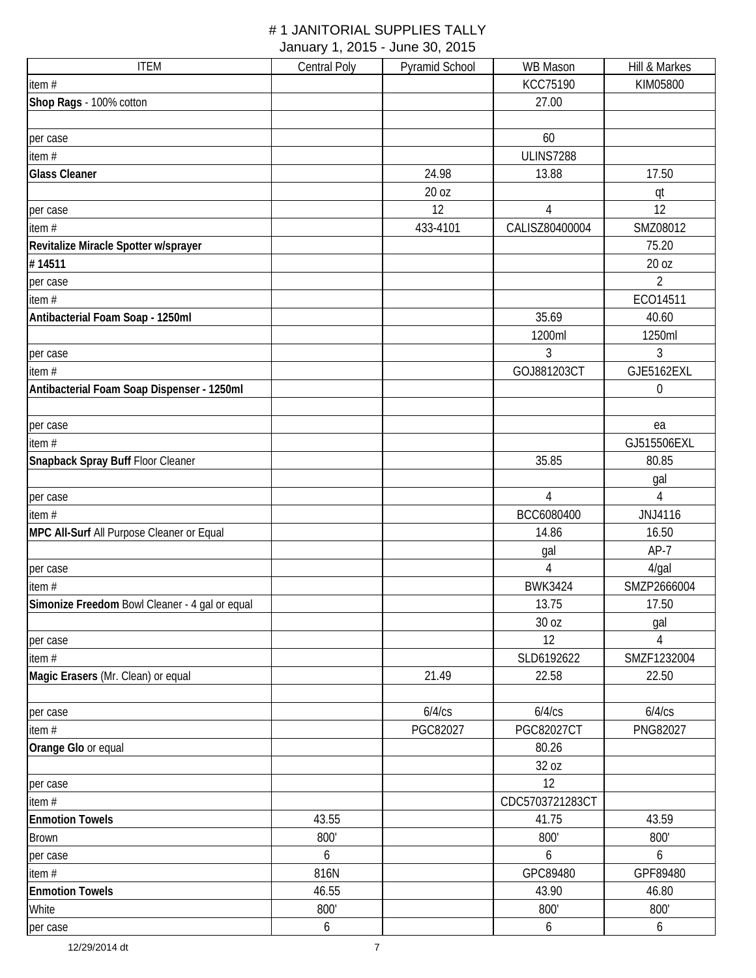| <b>ITEM</b>                                    | <b>Central Poly</b> | Pyramid School | WB Mason          | Hill & Markes  |
|------------------------------------------------|---------------------|----------------|-------------------|----------------|
| item $#$                                       |                     |                | <b>KCC75190</b>   | KIM05800       |
| Shop Rags - 100% cotton                        |                     |                | 27.00             |                |
|                                                |                     |                |                   |                |
| per case                                       |                     |                | 60                |                |
| item $#$                                       |                     |                | <b>ULINS7288</b>  |                |
| <b>Glass Cleaner</b>                           |                     | 24.98          | 13.88             | 17.50          |
|                                                |                     | 20 oz          |                   | qt             |
| per case                                       |                     | 12             | 4                 | 12             |
| item $#$                                       |                     | 433-4101       | CALISZ80400004    | SMZ08012       |
| Revitalize Miracle Spotter w/sprayer           |                     |                |                   | 75.20          |
| #14511                                         |                     |                |                   | 20 oz          |
| per case                                       |                     |                |                   | $\overline{2}$ |
| item#                                          |                     |                |                   | ECO14511       |
| Antibacterial Foam Soap - 1250ml               |                     |                | 35.69             | 40.60          |
|                                                |                     |                | 1200ml            | 1250ml         |
| per case                                       |                     |                | 3                 | 3              |
| item #                                         |                     |                | GOJ881203CT       | GJE5162EXL     |
| Antibacterial Foam Soap Dispenser - 1250ml     |                     |                |                   | $\mathbf 0$    |
|                                                |                     |                |                   |                |
| per case                                       |                     |                |                   | ea             |
| item $#$                                       |                     |                |                   | GJ515506EXL    |
| Snapback Spray Buff Floor Cleaner              |                     |                | 35.85             | 80.85          |
|                                                |                     |                |                   | gal            |
| per case                                       |                     |                | $\overline{4}$    | 4              |
| item#                                          |                     |                | BCC6080400        | JNJ4116        |
| MPC All-Surf All Purpose Cleaner or Equal      |                     |                | 14.86             | 16.50          |
|                                                |                     |                | gal               | $AP-7$         |
| per case                                       |                     |                | 4                 | 4/gal          |
| item #                                         |                     |                | <b>BWK3424</b>    | SMZP2666004    |
| Simonize Freedom Bowl Cleaner - 4 gal or equal |                     |                | 13.75             | 17.50          |
|                                                |                     |                | 30 oz             | gal            |
| per case                                       |                     |                | 12                | 4              |
| item #                                         |                     |                | SLD6192622        | SMZF1232004    |
| Magic Erasers (Mr. Clean) or equal             |                     | 21.49          | 22.58             | 22.50          |
|                                                |                     |                |                   |                |
| per case                                       |                     | 6/4/cs         | 6/4/cs            | 6/4/cs         |
| item #                                         |                     | PGC82027       | <b>PGC82027CT</b> | PNG82027       |
| Orange Glo or equal                            |                     |                | 80.26             |                |
|                                                |                     |                | 32 oz             |                |
| per case                                       |                     |                | 12                |                |
| item $#$                                       |                     |                | CDC5703721283CT   |                |
| <b>Enmotion Towels</b>                         | 43.55               |                | 41.75             | 43.59          |
| <b>Brown</b>                                   | 800'                |                | 800'              | 800'           |
| per case                                       | 6                   |                | 6                 | 6              |
| item #                                         | 816N                |                | GPC89480          | GPF89480       |
| <b>Enmotion Towels</b>                         | 46.55               |                | 43.90             | 46.80          |
| White                                          | 800'                |                | 800'              | 800'           |
| per case                                       | 6                   |                | 6                 | 6              |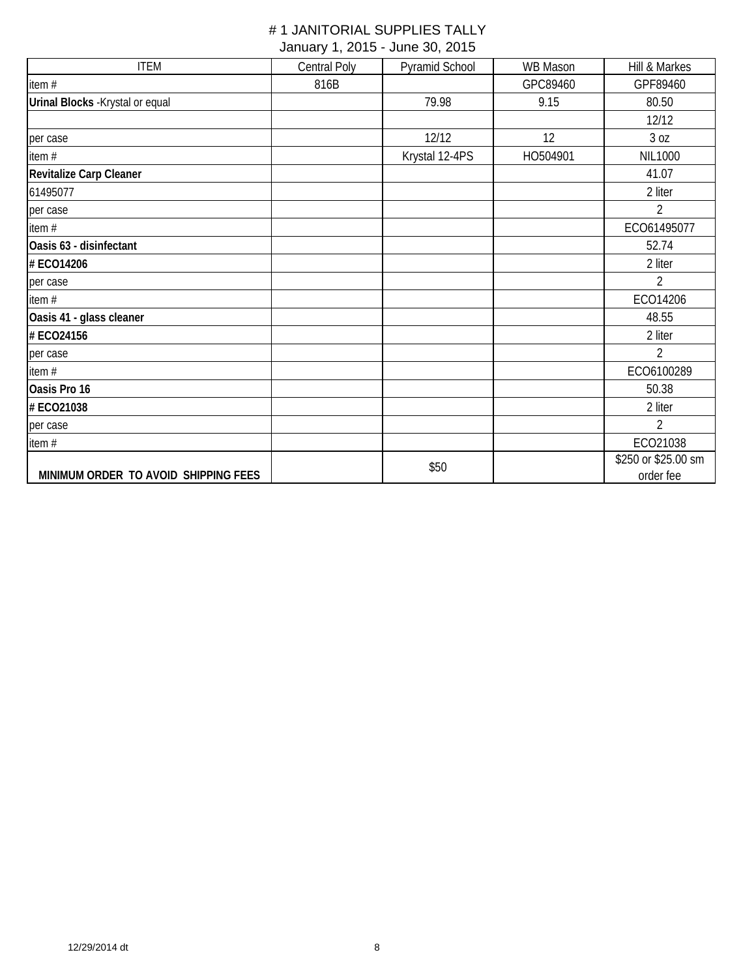| <b>ITEM</b>                          | Central Poly | Pyramid School | WB Mason | Hill & Markes       |
|--------------------------------------|--------------|----------------|----------|---------------------|
| item#                                | 816B         |                | GPC89460 | GPF89460            |
| Urinal Blocks - Krystal or equal     |              | 79.98          | 9.15     | 80.50               |
|                                      |              |                |          | 12/12               |
| per case                             |              | 12/12          | 12       | 3 oz                |
| item #                               |              | Krystal 12-4PS | HO504901 | <b>NIL1000</b>      |
| Revitalize Carp Cleaner              |              |                |          | 41.07               |
| 61495077                             |              |                |          | 2 liter             |
| per case                             |              |                |          | $\overline{2}$      |
| item#                                |              |                |          | ECO61495077         |
| Oasis 63 - disinfectant              |              |                |          | 52.74               |
| # ECO14206                           |              |                |          | 2 liter             |
| per case                             |              |                |          | 2                   |
| item#                                |              |                |          | ECO14206            |
| Oasis 41 - glass cleaner             |              |                |          | 48.55               |
| # ECO24156                           |              |                |          | 2 liter             |
| per case                             |              |                |          | $\overline{2}$      |
| item#                                |              |                |          | ECO6100289          |
| Oasis Pro 16                         |              |                |          | 50.38               |
| # ECO21038                           |              |                |          | 2 liter             |
| per case                             |              |                |          | $\overline{2}$      |
| item#                                |              |                |          | ECO21038            |
|                                      |              | \$50           |          | \$250 or \$25.00 sm |
| MINIMUM ORDER TO AVOID SHIPPING FEES |              |                |          | order fee           |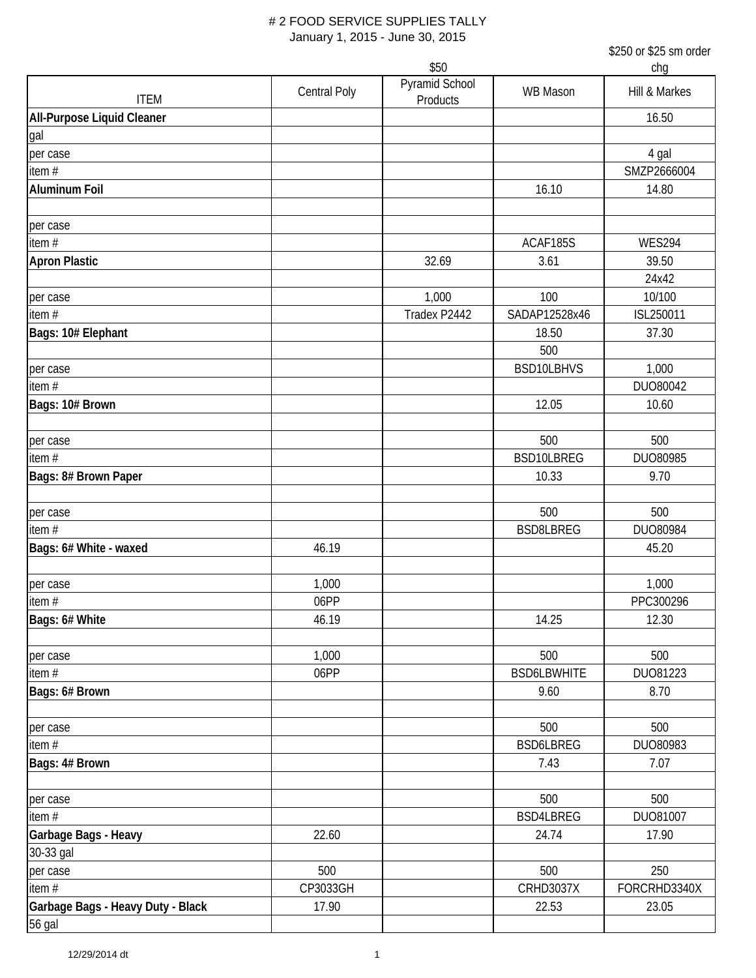|                                             |                     | \$50                       |                    | chg            |
|---------------------------------------------|---------------------|----------------------------|--------------------|----------------|
| <b>ITEM</b>                                 | <b>Central Poly</b> | Pyramid School<br>Products | <b>WB Mason</b>    | Hill & Markes  |
| All-Purpose Liquid Cleaner                  |                     |                            |                    | 16.50          |
| gal                                         |                     |                            |                    |                |
| per case                                    |                     |                            |                    | 4 gal          |
| item#                                       |                     |                            |                    | SMZP2666004    |
| <b>Aluminum Foil</b>                        |                     |                            | 16.10              | 14.80          |
| per case                                    |                     |                            |                    |                |
| item $#$                                    |                     |                            | ACAF185S           | <b>WES294</b>  |
| <b>Apron Plastic</b>                        |                     | 32.69                      | 3.61               | 39.50<br>24x42 |
| per case                                    |                     | 1,000                      | 100                | 10/100         |
| item#                                       |                     | Tradex P2442               | SADAP12528x46      | ISL250011      |
| Bags: 10# Elephant                          |                     |                            | 18.50<br>500       | 37.30          |
| per case                                    |                     |                            | BSD10LBHVS         | 1,000          |
| item $#$                                    |                     |                            |                    | DUO80042       |
| Bags: 10# Brown                             |                     |                            | 12.05              | 10.60          |
|                                             |                     |                            |                    |                |
| per case                                    |                     |                            | 500                | 500            |
| item $#$                                    |                     |                            | BSD10LBREG         | DUO80985       |
| Bags: 8# Brown Paper                        |                     |                            | 10.33              | 9.70           |
| per case                                    |                     |                            | 500                | 500            |
| item $#$                                    |                     |                            | <b>BSD8LBREG</b>   | DUO80984       |
| Bags: 6# White - waxed                      | 46.19               |                            |                    | 45.20          |
| per case                                    | 1,000               |                            |                    | 1,000          |
| item #                                      | 06PP                |                            |                    | PPC300296      |
| Bags: 6# White                              | 46.19               |                            | 14.25              | 12.30          |
| per case                                    | 1,000               |                            | 500                | 500            |
| item $#$                                    | 06PP                |                            | <b>BSD6LBWHITE</b> | DUO81223       |
| Bags: 6# Brown                              |                     |                            | 9.60               | 8.70           |
| per case                                    |                     |                            | 500                | 500            |
| item#                                       |                     |                            | BSD6LBREG          | DUO80983       |
| Bags: 4# Brown                              |                     |                            | 7.43               | 7.07           |
| per case                                    |                     |                            | 500                | 500            |
| item $#$                                    |                     |                            | BSD4LBREG          | DUO81007       |
| Garbage Bags - Heavy<br>30-33 gal           | 22.60               |                            | 24.74              | 17.90          |
| per case                                    | 500                 |                            | 500                | 250            |
| item #                                      | CP3033GH            |                            | <b>CRHD3037X</b>   | FORCRHD3340X   |
| Garbage Bags - Heavy Duty - Black<br>56 gal | 17.90               |                            | 22.53              | 23.05          |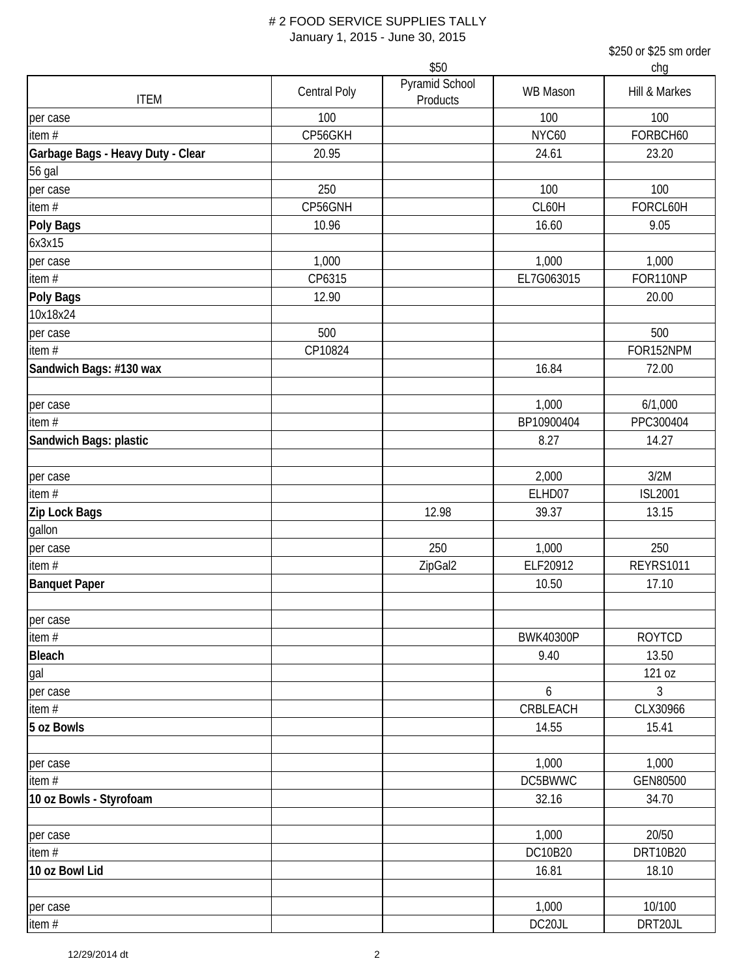|                                   |                     | \$50                       |                  | chg              |
|-----------------------------------|---------------------|----------------------------|------------------|------------------|
| <b>ITEM</b>                       | <b>Central Poly</b> | Pyramid School<br>Products | WB Mason         | Hill & Markes    |
| per case                          | 100                 |                            | 100              | 100              |
| item $#$                          | CP56GKH             |                            | NYC60            | FORBCH60         |
| Garbage Bags - Heavy Duty - Clear | 20.95               |                            | 24.61            | 23.20            |
| <b>56 gal</b>                     |                     |                            |                  |                  |
| per case                          | 250                 |                            | 100              | 100              |
| item $#$                          | CP56GNH             |                            | CL60H            | FORCL60H         |
| Poly Bags                         | 10.96               |                            | 16.60            | 9.05             |
| 6x3x15                            |                     |                            |                  |                  |
| per case                          | 1,000               |                            | 1,000            | 1,000            |
| item #                            | CP6315              |                            | EL7G063015       | FOR110NP         |
| <b>Poly Bags</b>                  | 12.90               |                            |                  | 20.00            |
| 10x18x24                          |                     |                            |                  |                  |
| per case                          | 500                 |                            |                  | 500              |
| item $#$                          | CP10824             |                            |                  | FOR152NPM        |
| Sandwich Bags: #130 wax           |                     |                            | 16.84            | 72.00            |
|                                   |                     |                            |                  |                  |
| per case                          |                     |                            | 1,000            | 6/1,000          |
| item $#$                          |                     |                            | BP10900404       | PPC300404        |
| Sandwich Bags: plastic            |                     |                            | 8.27             | 14.27            |
| per case                          |                     |                            | 2,000            | 3/2M             |
| item#                             |                     |                            | ELHD07           | <b>ISL2001</b>   |
| Zip Lock Bags                     |                     | 12.98                      | 39.37            | 13.15            |
| gallon                            |                     |                            |                  |                  |
| per case                          |                     | 250                        | 1,000            | 250              |
| item $#$                          |                     | ZipGal2                    | ELF20912         | <b>REYRS1011</b> |
| <b>Banquet Paper</b>              |                     |                            | 10.50            | 17.10            |
| per case                          |                     |                            |                  |                  |
| item#                             |                     |                            | <b>BWK40300P</b> | <b>ROYTCD</b>    |
| <b>Bleach</b>                     |                     |                            | 9.40             | 13.50            |
| gal                               |                     |                            |                  | 121 oz           |
| per case                          |                     |                            | 6                | 3                |
| item#                             |                     |                            | CRBLEACH         | CLX30966         |
| 5 oz Bowls                        |                     |                            | 14.55            | 15.41            |
| per case                          |                     |                            | 1,000            | 1,000            |
| item #                            |                     |                            | DC5BWWC          | GEN80500         |
| 10 oz Bowls - Styrofoam           |                     |                            | 32.16            | 34.70            |
|                                   |                     |                            |                  |                  |
| per case                          |                     |                            | 1,000            | 20/50            |
| item#                             |                     |                            | DC10B20          | DRT10B20         |
| 10 oz Bowl Lid                    |                     |                            | 16.81            | 18.10            |
|                                   |                     |                            |                  |                  |
| per case                          |                     |                            | 1,000            | 10/100           |
| item#                             |                     |                            | DC20JL           | DRT20JL          |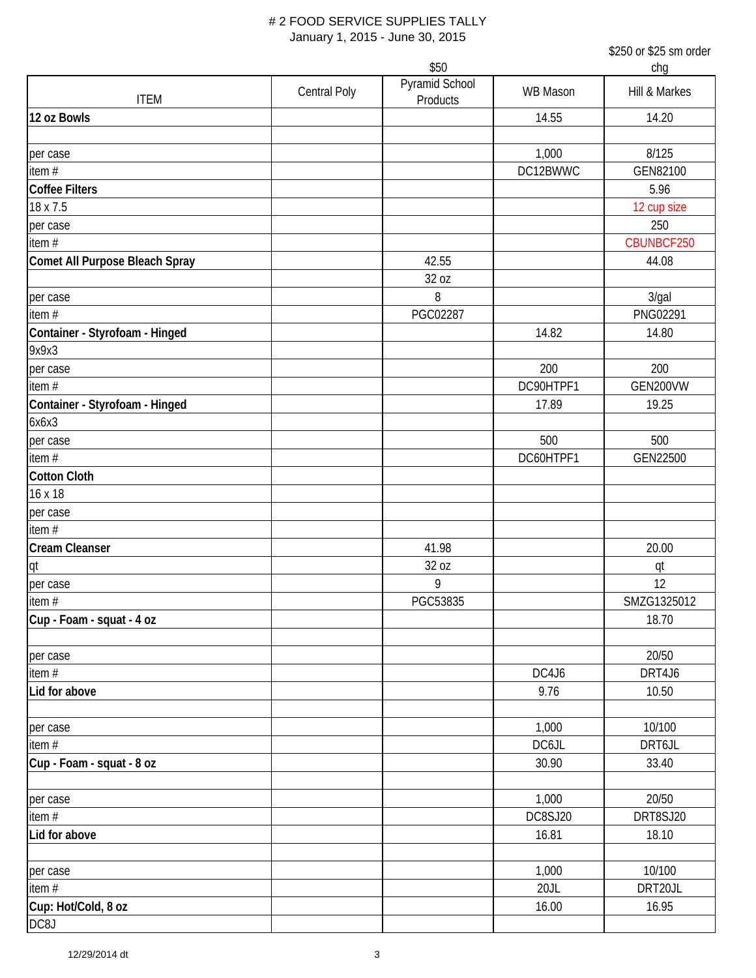|                                |              | \$50                       |           | chg           |  |
|--------------------------------|--------------|----------------------------|-----------|---------------|--|
| <b>ITEM</b>                    | Central Poly | Pyramid School<br>Products | WB Mason  | Hill & Markes |  |
| 12 oz Bowls                    |              |                            | 14.55     | 14.20         |  |
| per case                       |              |                            | 1,000     | 8/125         |  |
| item $#$                       |              |                            | DC12BWWC  | GEN82100      |  |
| <b>Coffee Filters</b>          |              |                            |           | 5.96          |  |
| 18 x 7.5                       |              |                            |           | 12 cup size   |  |
| per case                       |              |                            |           | 250           |  |
| item $#$                       |              |                            |           | CBUNBCF250    |  |
| Comet All Purpose Bleach Spray |              | 42.55                      |           | 44.08         |  |
|                                |              | 32 oz                      |           |               |  |
| per case                       |              | 8                          |           | 3/gal         |  |
| item $#$                       |              | PGC02287                   |           | PNG02291      |  |
| Container - Styrofoam - Hinged |              |                            | 14.82     | 14.80         |  |
| 9x9x3                          |              |                            |           |               |  |
| per case                       |              |                            | 200       | 200           |  |
| item #                         |              |                            | DC90HTPF1 | GEN200VW      |  |
| Container - Styrofoam - Hinged |              |                            | 17.89     | 19.25         |  |
| 6x6x3                          |              |                            |           |               |  |
| per case                       |              |                            | 500       | 500           |  |
| item $#$                       |              |                            | DC60HTPF1 | GEN22500      |  |
| <b>Cotton Cloth</b>            |              |                            |           |               |  |
| 16 x 18                        |              |                            |           |               |  |
| per case                       |              |                            |           |               |  |
| item $#$                       |              |                            |           |               |  |
| <b>Cream Cleanser</b>          |              | 41.98                      |           | 20.00         |  |
| qt                             |              | 32 oz                      |           | qt            |  |
| per case                       |              | 9                          |           | 12            |  |
| item#                          |              | PGC53835                   |           | SMZG1325012   |  |
| Cup - Foam - squat - 4 oz      |              |                            |           | 18.70         |  |
| per case                       |              |                            |           | 20/50         |  |
| item $#$                       |              |                            | DC4J6     | DRT4J6        |  |
| Lid for above                  |              |                            | 9.76      | 10.50         |  |
|                                |              |                            |           |               |  |
| per case                       |              |                            | 1,000     | 10/100        |  |
| item $#$                       |              |                            | DC6JL     | DRT6JL        |  |
| Cup - Foam - squat - 8 oz      |              |                            | 30.90     | 33.40         |  |
|                                |              |                            |           |               |  |
| per case                       |              |                            | 1,000     | 20/50         |  |
| item $#$                       |              |                            | DC8SJ20   | DRT8SJ20      |  |
| Lid for above                  |              |                            | 16.81     | 18.10         |  |
|                                |              |                            |           |               |  |
| per case                       |              |                            | 1,000     | 10/100        |  |
| item#                          |              |                            | 20JL      | DRT20JL       |  |
| Cup: Hot/Cold, 8 oz            |              |                            | 16.00     | 16.95         |  |
| DC8J                           |              |                            |           |               |  |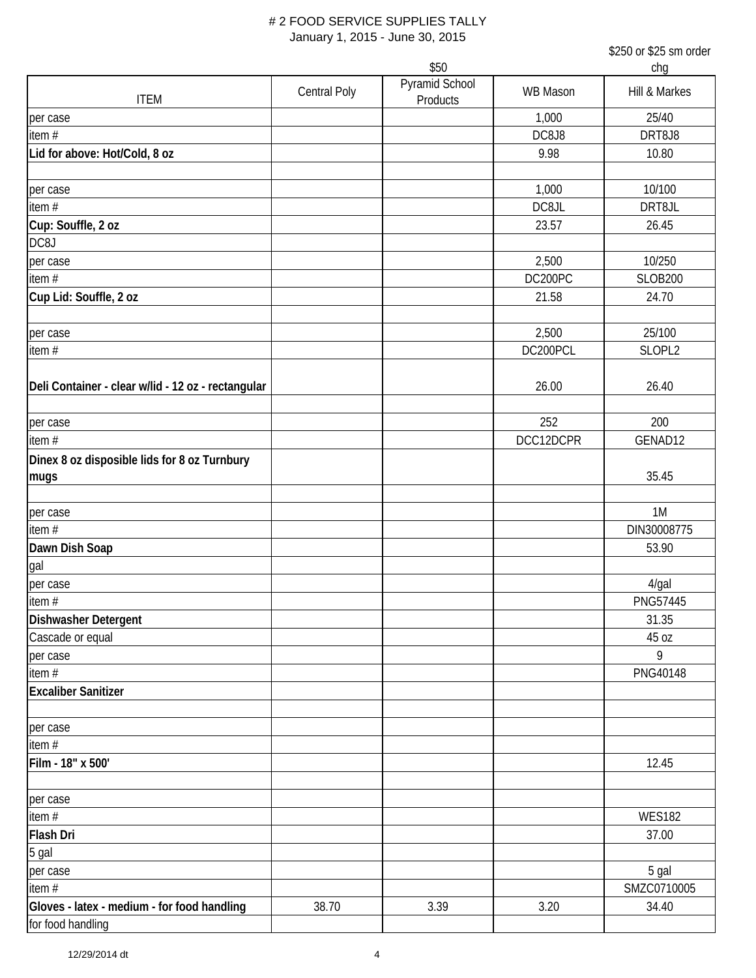|                                                      |                     | \$50                       |                 | chq             |
|------------------------------------------------------|---------------------|----------------------------|-----------------|-----------------|
| <b>ITEM</b>                                          | <b>Central Poly</b> | Pyramid School<br>Products | <b>WB Mason</b> | Hill & Markes   |
| per case                                             |                     |                            | 1,000           | 25/40           |
| item#                                                |                     |                            | DC8J8           | DRT8J8          |
| Lid for above: Hot/Cold, 8 oz                        |                     |                            | 9.98            | 10.80           |
|                                                      |                     |                            |                 |                 |
| per case                                             |                     |                            | 1,000           | 10/100          |
| item#                                                |                     |                            | DC8JL           | DRT8JL          |
| Cup: Souffle, 2 oz                                   |                     |                            | 23.57           | 26.45           |
| DC8J                                                 |                     |                            |                 |                 |
| per case                                             |                     |                            | 2,500           | 10/250          |
| item $#$                                             |                     |                            | DC200PC         | <b>SLOB200</b>  |
| Cup Lid: Souffle, 2 oz                               |                     |                            | 21.58           | 24.70           |
| per case                                             |                     |                            | 2,500           | 25/100          |
| item #                                               |                     |                            | DC200PCL        | SLOPL2          |
| Deli Container - clear w/lid - 12 oz - rectangular   |                     |                            | 26.00           | 26.40           |
| per case                                             |                     |                            | 252             | 200             |
| item $#$                                             |                     |                            | DCC12DCPR       | GENAD12         |
| Dinex 8 oz disposible lids for 8 oz Turnbury<br>mugs |                     |                            |                 | 35.45           |
|                                                      |                     |                            |                 |                 |
| per case                                             |                     |                            |                 | 1M              |
| item $#$                                             |                     |                            |                 | DIN30008775     |
| Dawn Dish Soap                                       |                     |                            |                 | 53.90           |
| gal                                                  |                     |                            |                 |                 |
| per case                                             |                     |                            |                 | $4$ /gal        |
| item#                                                |                     |                            |                 | <b>PNG57445</b> |
| Dishwasher Detergent                                 |                     |                            |                 | 31.35           |
| Cascade or equal                                     |                     |                            |                 | 45 oz           |
| per case                                             |                     |                            |                 | 9               |
| item #                                               |                     |                            |                 | PNG40148        |
| <b>Excaliber Sanitizer</b>                           |                     |                            |                 |                 |
| per case                                             |                     |                            |                 |                 |
| item #                                               |                     |                            |                 |                 |
| Film - 18" x 500'                                    |                     |                            |                 | 12.45           |
| per case                                             |                     |                            |                 |                 |
| item#                                                |                     |                            |                 | <b>WES182</b>   |
| <b>Flash Dri</b>                                     |                     |                            |                 | 37.00           |
| 5 gal                                                |                     |                            |                 |                 |
| per case                                             |                     |                            |                 | 5 gal           |
| item #                                               |                     |                            |                 | SMZC0710005     |
| Gloves - latex - medium - for food handling          | 38.70               | 3.39                       | 3.20            | 34.40           |
| for food handling                                    |                     |                            |                 |                 |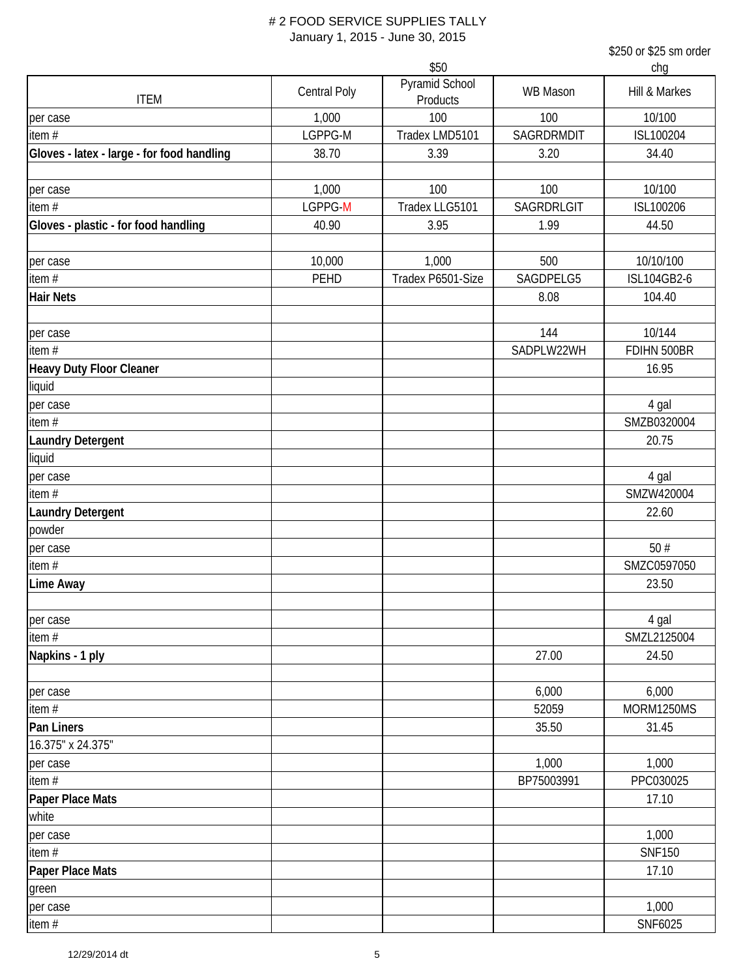|                                            |                     | \$50                       |                 | chq                      |
|--------------------------------------------|---------------------|----------------------------|-----------------|--------------------------|
| <b>ITEM</b>                                | <b>Central Poly</b> | Pyramid School<br>Products | <b>WB Mason</b> | Hill & Markes            |
| per case                                   | 1,000               | 100                        | 100             | 10/100                   |
| item $#$                                   | LGPPG-M             | Tradex LMD5101             | SAGRDRMDIT      | ISL100204                |
| Gloves - latex - large - for food handling | 38.70               | 3.39                       | 3.20            | 34.40                    |
|                                            |                     |                            |                 |                          |
| per case                                   | 1,000               | 100                        | 100             | 10/100                   |
| item $#$                                   | LGPPG-M             | Tradex LLG5101             | SAGRDRLGIT      | ISL100206                |
| Gloves - plastic - for food handling       | 40.90               | 3.95                       | 1.99            | 44.50                    |
|                                            |                     |                            | 500             |                          |
| per case<br>item#                          | 10,000<br>PEHD      | 1,000<br>Tradex P6501-Size | SAGDPELG5       | 10/10/100<br>ISL104GB2-6 |
| <b>Hair Nets</b>                           |                     |                            | 8.08            | 104.40                   |
|                                            |                     |                            |                 |                          |
| per case                                   |                     |                            | 144             | 10/144                   |
| item#                                      |                     |                            | SADPLW22WH      | FDIHN 500BR              |
| Heavy Duty Floor Cleaner                   |                     |                            |                 | 16.95                    |
| liquid                                     |                     |                            |                 |                          |
| per case                                   |                     |                            |                 | 4 gal                    |
| item#                                      |                     |                            |                 | SMZB0320004              |
| <b>Laundry Detergent</b>                   |                     |                            |                 | 20.75                    |
| liquid                                     |                     |                            |                 |                          |
| per case                                   |                     |                            |                 | 4 gal                    |
| item $#$                                   |                     |                            |                 | SMZW420004               |
| <b>Laundry Detergent</b>                   |                     |                            |                 | 22.60                    |
| powder                                     |                     |                            |                 |                          |
| per case                                   |                     |                            |                 | 50#                      |
| item $#$                                   |                     |                            |                 | SMZC0597050              |
| Lime Away                                  |                     |                            |                 | 23.50                    |
|                                            |                     |                            |                 |                          |
| per case                                   |                     |                            |                 | 4 gal                    |
| item $#$                                   |                     |                            |                 | SMZL2125004              |
| Napkins - 1 ply                            |                     |                            | 27.00           | 24.50                    |
| per case                                   |                     |                            | 6,000           | 6,000                    |
| item#                                      |                     |                            | 52059           | MORM1250MS               |
| Pan Liners                                 |                     |                            | 35.50           | 31.45                    |
| 16.375" x 24.375"                          |                     |                            |                 |                          |
| per case                                   |                     |                            | 1,000           | 1,000                    |
| item $#$                                   |                     |                            | BP75003991      | PPC030025                |
| Paper Place Mats                           |                     |                            |                 | 17.10                    |
| white                                      |                     |                            |                 |                          |
| per case                                   |                     |                            |                 | 1,000                    |
| item#                                      |                     |                            |                 | <b>SNF150</b>            |
| Paper Place Mats                           |                     |                            |                 | 17.10                    |
| green                                      |                     |                            |                 |                          |
| per case                                   |                     |                            |                 | 1,000                    |
| item#                                      |                     |                            |                 | SNF6025                  |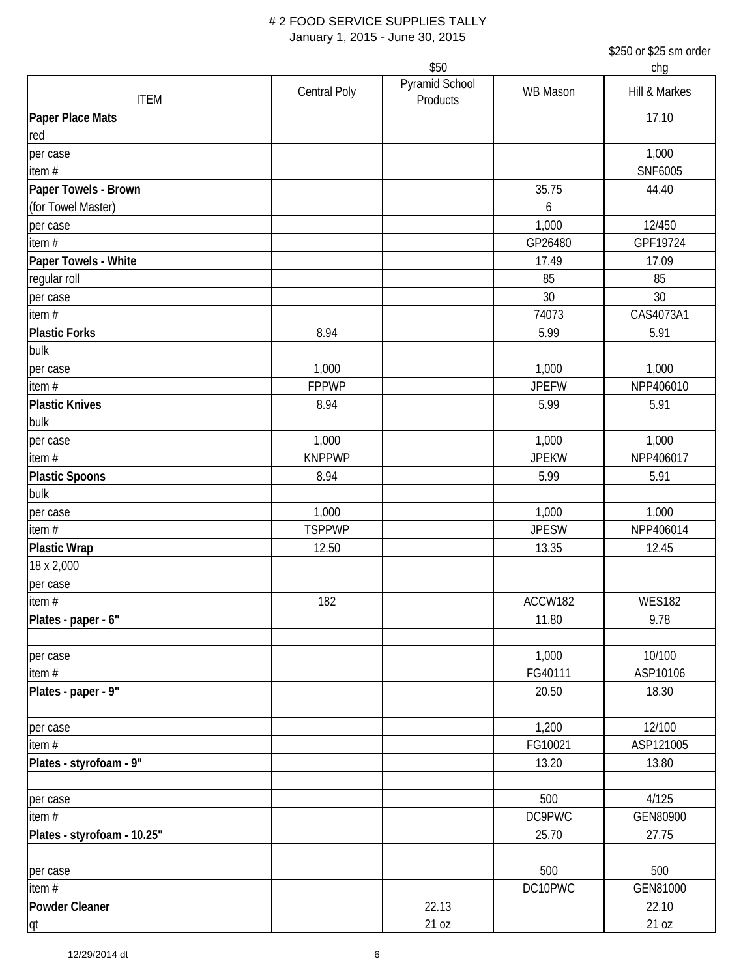|                             |               |                            |              | chg           |
|-----------------------------|---------------|----------------------------|--------------|---------------|
| <b>ITEM</b>                 | Central Poly  | Pyramid School<br>Products | WB Mason     | Hill & Markes |
| <b>Paper Place Mats</b>     |               |                            |              | 17.10         |
| red                         |               |                            |              |               |
| per case                    |               |                            |              | 1,000         |
| item $#$                    |               |                            |              | SNF6005       |
| Paper Towels - Brown        |               |                            | 35.75        | 44.40         |
| (for Towel Master)          |               |                            | 6            |               |
| per case                    |               |                            | 1,000        | 12/450        |
| item #                      |               |                            | GP26480      | GPF19724      |
| Paper Towels - White        |               |                            | 17.49        | 17.09         |
| regular roll                |               |                            | 85           | 85            |
| per case                    |               |                            | 30           | 30            |
| item #                      |               |                            | 74073        | CAS4073A1     |
| <b>Plastic Forks</b>        | 8.94          |                            | 5.99         | 5.91          |
| bulk                        |               |                            |              |               |
| per case                    | 1,000         |                            | 1,000        | 1,000         |
| item $#$                    | <b>FPPWP</b>  |                            | <b>JPEFW</b> | NPP406010     |
| <b>Plastic Knives</b>       | 8.94          |                            | 5.99         | 5.91          |
| bulk                        |               |                            |              |               |
| per case                    | 1,000         |                            | 1,000        | 1,000         |
| item $#$                    | <b>KNPPWP</b> |                            | <b>JPEKW</b> | NPP406017     |
| <b>Plastic Spoons</b>       | 8.94          |                            | 5.99         | 5.91          |
| bulk                        |               |                            |              |               |
| per case                    | 1,000         |                            | 1,000        | 1,000         |
| item $#$                    | <b>TSPPWP</b> |                            | <b>JPESW</b> | NPP406014     |
| <b>Plastic Wrap</b>         | 12.50         |                            | 13.35        | 12.45         |
| 18 x 2,000                  |               |                            |              |               |
| per case                    |               |                            |              |               |
| item $#$                    | 182           |                            | ACCW182      | <b>WES182</b> |
| Plates - paper - 6"         |               |                            | 11.80        | 9.78          |
|                             |               |                            |              |               |
| per case                    |               |                            | 1,000        | 10/100        |
| item #                      |               |                            | FG40111      | ASP10106      |
| Plates - paper - 9"         |               |                            | 20.50        | 18.30         |
|                             |               |                            |              |               |
| per case                    |               |                            | 1,200        | 12/100        |
| item #                      |               |                            | FG10021      | ASP121005     |
| Plates - styrofoam - 9"     |               |                            | 13.20        | 13.80         |
|                             |               |                            |              |               |
| per case                    |               |                            | 500          | 4/125         |
| item $#$                    |               |                            | DC9PWC       | GEN80900      |
| Plates - styrofoam - 10.25" |               |                            | 25.70        | 27.75         |
|                             |               |                            |              |               |
| per case                    |               |                            | 500          | 500           |
| item#                       |               |                            | DC10PWC      | GEN81000      |
| <b>Powder Cleaner</b>       |               | 22.13                      |              | 22.10         |
| qt                          |               | 21 oz                      |              | 21 oz         |
|                             |               |                            |              |               |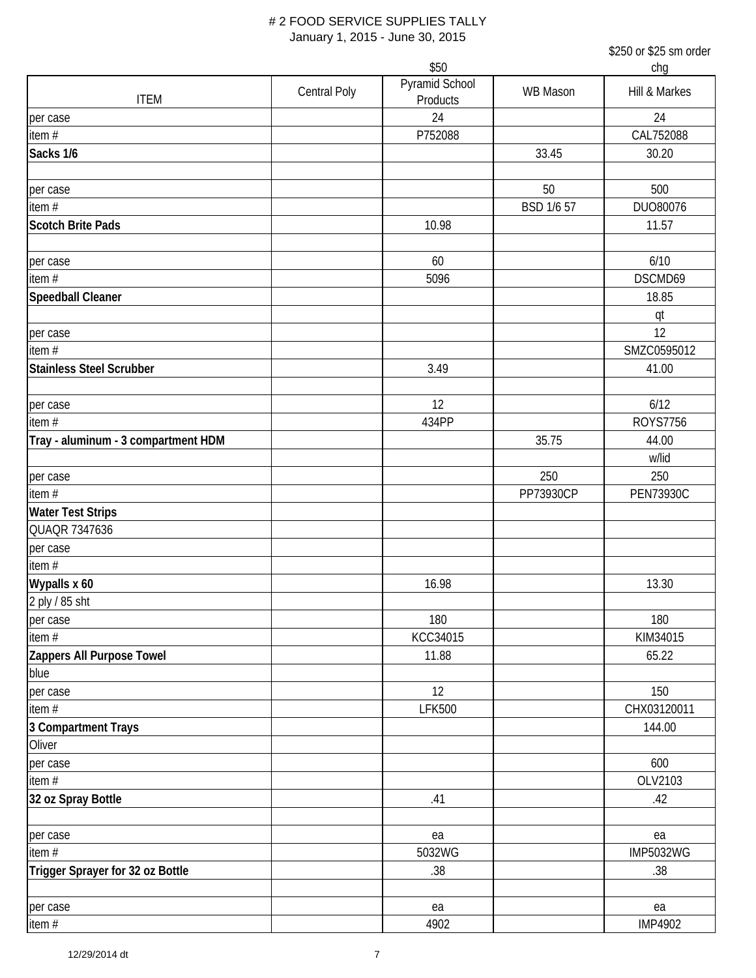|                                     |                     | \$50                       |                 | chg              |
|-------------------------------------|---------------------|----------------------------|-----------------|------------------|
| <b>ITEM</b>                         | <b>Central Poly</b> | Pyramid School<br>Products | <b>WB Mason</b> | Hill & Markes    |
| per case                            |                     | 24                         |                 | 24               |
| item#                               |                     | P752088                    |                 | CAL752088        |
| Sacks 1/6                           |                     |                            | 33.45           | 30.20            |
| per case                            |                     |                            | 50              | 500              |
| item#                               |                     |                            | BSD 1/6 57      | DUO80076         |
| <b>Scotch Brite Pads</b>            |                     | 10.98                      |                 | 11.57            |
|                                     |                     |                            |                 |                  |
| per case                            |                     | 60                         |                 | 6/10             |
| item#                               |                     | 5096                       |                 | DSCMD69          |
| Speedball Cleaner                   |                     |                            |                 | 18.85            |
|                                     |                     |                            |                 | qt               |
| per case                            |                     |                            |                 | 12               |
| item#                               |                     |                            |                 | SMZC0595012      |
| <b>Stainless Steel Scrubber</b>     |                     | 3.49                       |                 | 41.00            |
| per case                            |                     | 12                         |                 | 6/12             |
| item $#$                            |                     | 434PP                      |                 | <b>ROYS7756</b>  |
| Tray - aluminum - 3 compartment HDM |                     |                            | 35.75           | 44.00            |
|                                     |                     |                            |                 | w/lid            |
| per case                            |                     |                            | 250             | 250              |
| item#                               |                     |                            | PP73930CP       | <b>PEN73930C</b> |
| <b>Water Test Strips</b>            |                     |                            |                 |                  |
| QUAQR 7347636                       |                     |                            |                 |                  |
| per case                            |                     |                            |                 |                  |
| item#                               |                     |                            |                 |                  |
| Wypalls x 60                        |                     | 16.98                      |                 | 13.30            |
| 2 ply / 85 sht                      |                     |                            |                 |                  |
| per case                            |                     | 180                        |                 | 180              |
| item $#$                            |                     | KCC34015                   |                 | KIM34015         |
| Zappers All Purpose Towel           |                     | 11.88                      |                 | 65.22            |
| blue                                |                     |                            |                 |                  |
| per case                            |                     | 12                         |                 | 150              |
| item $#$                            |                     | <b>LFK500</b>              |                 | CHX03120011      |
| 3 Compartment Trays                 |                     |                            |                 | 144.00           |
| Oliver                              |                     |                            |                 |                  |
| per case                            |                     |                            |                 | 600              |
| item#                               |                     |                            |                 | OLV2103          |
| 32 oz Spray Bottle                  |                     | .41                        |                 | .42              |
| per case                            |                     | ea                         |                 | ea               |
| item #                              |                     | 5032WG                     |                 | <b>IMP5032WG</b> |
| Trigger Sprayer for 32 oz Bottle    |                     | .38                        |                 | .38              |
|                                     |                     |                            |                 |                  |
| per case                            |                     | ea                         |                 | ea               |
| item#                               |                     | 4902                       |                 | <b>IMP4902</b>   |